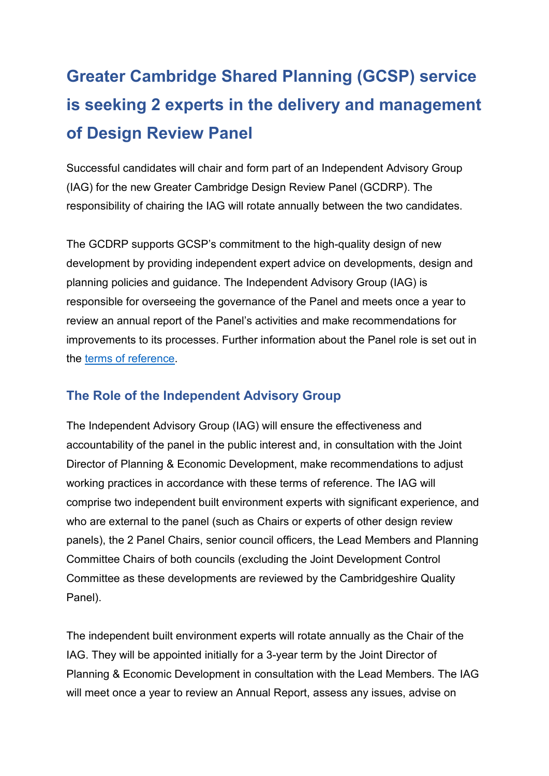# **Greater Cambridge Shared Planning (GCSP) service is seeking 2 experts in the delivery and management of Design Review Panel**

 Successful candidates will chair and form part of an Independent Advisory Group (IAG) for the new Greater Cambridge Design Review Panel (GCDRP). The responsibility of chairing the IAG will rotate annually between the two candidates.

 responsible for overseeing the governance of the Panel and meets once a year to improvements to its processes. Further information about the Panel role is set out in The GCDRP supports GCSP's commitment to the high-quality design of new development by providing independent expert advice on developments, design and planning policies and guidance. The Independent Advisory Group (IAG) is review an annual report of the Panel's activities and make recommendations for the [terms of reference.](https://www.greatercambridgeplanning.org/media/2437/terms-of-reference-greater-cambridge-design-review-panel.pdf)

## **The Role of the Independent Advisory Group**

The Independent Advisory Group (IAG) will ensure the effectiveness and accountability of the panel in the public interest and, in consultation with the Joint Director of Planning & Economic Development, make recommendations to adjust working practices in accordance with these terms of reference. The IAG will comprise two independent built environment experts with significant experience, and who are external to the panel (such as Chairs or experts of other design review panels), the 2 Panel Chairs, senior council officers, the Lead Members and Planning Committee Chairs of both councils (excluding the Joint Development Control Committee as these developments are reviewed by the Cambridgeshire Quality Panel).

 IAG. They will be appointed initially for a 3-year term by the Joint Director of Planning & Economic Development in consultation with the Lead Members. The IAG The independent built environment experts will rotate annually as the Chair of the will meet once a year to review an Annual Report, assess any issues, advise on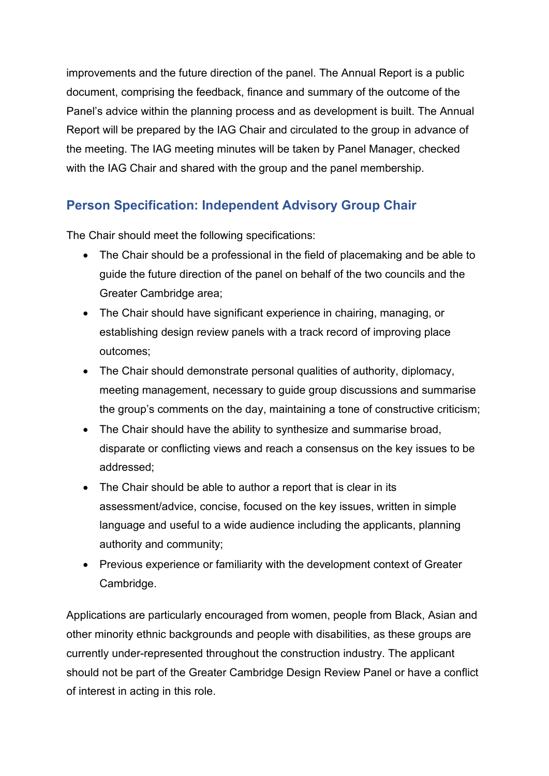improvements and the future direction of the panel. The Annual Report is a public document, comprising the feedback, finance and summary of the outcome of the Panel's advice within the planning process and as development is built. The Annual Report will be prepared by the IAG Chair and circulated to the group in advance of the meeting. The IAG meeting minutes will be taken by Panel Manager, checked with the IAG Chair and shared with the group and the panel membership.

## **Person Specification: Independent Advisory Group Chair**

The Chair should meet the following specifications:

- The Chair should be a professional in the field of placemaking and be able to guide the future direction of the panel on behalf of the two councils and the Greater Cambridge area;
- • The Chair should have significant experience in chairing, managing, or establishing design review panels with a track record of improving place outcomes;
- • The Chair should demonstrate personal qualities of authority, diplomacy, the group's comments on the day, maintaining a tone of constructive criticism; meeting management, necessary to guide group discussions and summarise
- The Chair should have the ability to synthesize and summarise broad, disparate or conflicting views and reach a consensus on the key issues to be addressed;
- language and useful to a wide audience including the applicants, planning • The Chair should be able to author a report that is clear in its assessment/advice, concise, focused on the key issues, written in simple authority and community;
- Previous experience or familiarity with the development context of Greater Cambridge.

 should not be part of the Greater Cambridge Design Review Panel or have a conflict Applications are particularly encouraged from women, people from Black, Asian and other minority ethnic backgrounds and people with disabilities, as these groups are currently under-represented throughout the construction industry. The applicant of interest in acting in this role.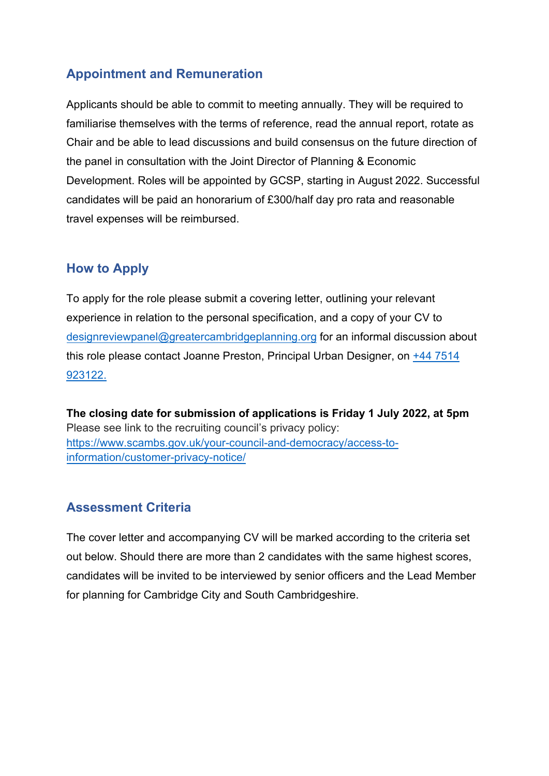## **Appointment and Remuneration**

 the panel in consultation with the Joint Director of Planning & Economic candidates will be paid an honorarium of £300/half day pro rata and reasonable Applicants should be able to commit to meeting annually. They will be required to familiarise themselves with the terms of reference, read the annual report, rotate as Chair and be able to lead discussions and build consensus on the future direction of Development. Roles will be appointed by GCSP, starting in August 2022. Successful travel expenses will be reimbursed.

#### **How to Apply**

 experience in relation to the personal specification, and a copy of your CV to To apply for the role please submit a covering letter, outlining your relevant [designreviewpanel@greatercambridgeplanning.](mailto:DesignReview@greatercambridgeplanning.org)org for an informal discussion about this role please contact Joanne Preston, Principal Urban Designer, on [+44 7514](tel:+44 7514 923122)  [923122.](tel:+44 7514 923122)

**The closing date for submission of applications is Friday 1 July 2022, at 5pm** Please see link to the recruiting council's privacy policy: <https://www.scambs.gov.uk/your-council-and-democracy/access-to>[information/customer-privacy-notice/](https://www.scambs.gov.uk/your-council-and-democracy/access-to-information/customer-privacy-notice/)

#### **Assessment Criteria**

 for planning for Cambridge City and South Cambridgeshire. The cover letter and accompanying CV will be marked according to the criteria set out below. Should there are more than 2 candidates with the same highest scores, candidates will be invited to be interviewed by senior officers and the Lead Member